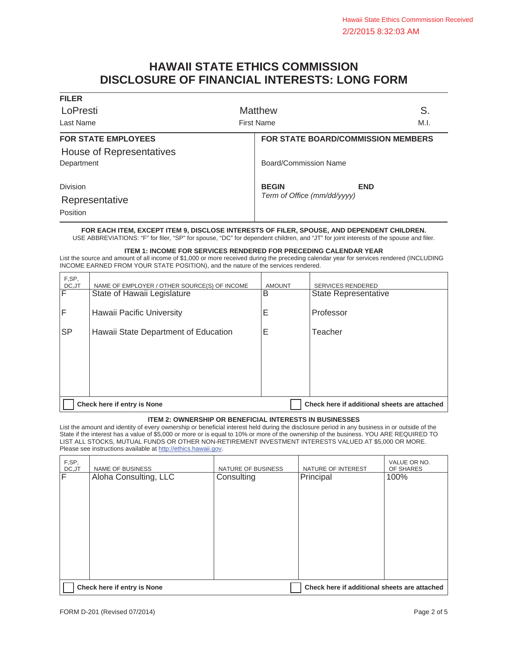# **HAWAII STATE ETHICS COMMISSION DISCLOSURE OF FINANCIAL INTERESTS: LONG FORM**

| <b>Matthew</b>                            | S.                                          |
|-------------------------------------------|---------------------------------------------|
| <b>First Name</b>                         | M.I.                                        |
| <b>FOR STATE BOARD/COMMISSION MEMBERS</b> |                                             |
|                                           |                                             |
| Board/Commission Name                     |                                             |
|                                           | <b>END</b>                                  |
|                                           |                                             |
|                                           |                                             |
|                                           |                                             |
|                                           | <b>BEGIN</b><br>Term of Office (mm/dd/yyyy) |

**FOR EACH ITEM, EXCEPT ITEM 9, DISCLOSE INTERESTS OF FILER, SPOUSE, AND DEPENDENT CHILDREN.**  USE ABBREVIATIONS: "F" for filer, "SP" for spouse, "DC" for dependent children, and "JT" for joint interests of the spouse and filer.

**ITEM 1: INCOME FOR SERVICES RENDERED FOR PRECEDING CALENDAR YEAR** 

List the source and amount of all income of \$1,000 or more received during the preceding calendar year for services rendered (INCLUDING INCOME EARNED FROM YOUR STATE POSITION), and the nature of the services rendered.

| F,SP,<br>DC, JT | NAME OF EMPLOYER / OTHER SOURCE(S) OF INCOME                                | <b>AMOUNT</b> | <b>SERVICES RENDERED</b> |
|-----------------|-----------------------------------------------------------------------------|---------------|--------------------------|
| $\overline{F}$  | State of Hawaii Legislature                                                 | B             | State Representative     |
| IF              | Hawaii Pacific University                                                   | Е             | Professor                |
| <b>SP</b>       | Hawaii State Department of Education                                        | Ε             | Teacher                  |
|                 |                                                                             |               |                          |
|                 |                                                                             |               |                          |
|                 |                                                                             |               |                          |
|                 | Check here if additional sheets are attached<br>Check here if entry is None |               |                          |

### **ITEM 2: OWNERSHIP OR BENEFICIAL INTERESTS IN BUSINESSES**

List the amount and identity of every ownership or beneficial interest held during the disclosure period in any business in or outside of the State if the interest has a value of \$5,000 or more or is equal to 10% or more of the ownership of the business. YOU ARE REQUIRED TO LIST ALL STOCKS, MUTUAL FUNDS OR OTHER NON-RETIREMENT INVESTMENT INTERESTS VALUED AT \$5,000 OR MORE. Please see instructions available at http://ethics.hawaii.gov.

| F,SP,<br>DC, JT | NAME OF BUSINESS            | NATURE OF BUSINESS | NATURE OF INTEREST                           | VALUE OR NO.<br>OF SHARES |
|-----------------|-----------------------------|--------------------|----------------------------------------------|---------------------------|
| F               | Aloha Consulting, LLC       | Consulting         | Principal                                    | 100%                      |
|                 |                             |                    |                                              |                           |
|                 |                             |                    |                                              |                           |
|                 |                             |                    |                                              |                           |
|                 |                             |                    |                                              |                           |
|                 |                             |                    |                                              |                           |
|                 |                             |                    |                                              |                           |
|                 |                             |                    |                                              |                           |
|                 | Check here if entry is None |                    | Check here if additional sheets are attached |                           |

**FILER**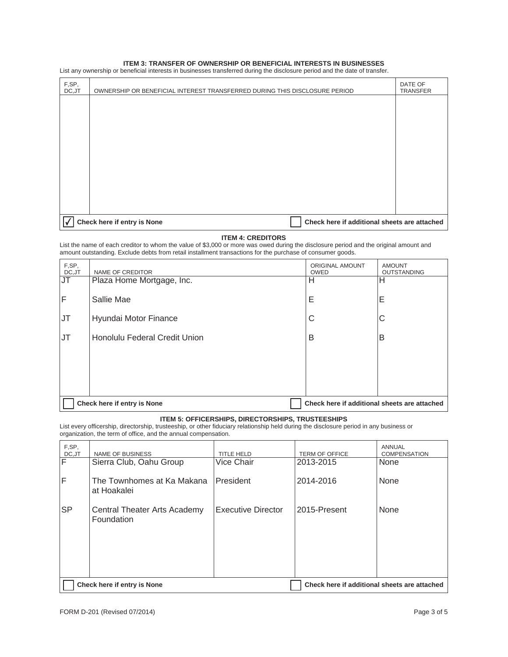#### **ITEM 3: TRANSFER OF OWNERSHIP OR BENEFICIAL INTERESTS IN BUSINESSES**

List any ownership or beneficial interests in businesses transferred during the disclosure period and the date of transfer.

| F,SP,<br>DC, JT | OWNERSHIP OR BENEFICIAL INTEREST TRANSFERRED DURING THIS DISCLOSURE PERIOD  | DATE OF<br><b>TRANSFER</b> |
|-----------------|-----------------------------------------------------------------------------|----------------------------|
|                 |                                                                             |                            |
|                 |                                                                             |                            |
|                 |                                                                             |                            |
|                 |                                                                             |                            |
|                 |                                                                             |                            |
|                 |                                                                             |                            |
|                 |                                                                             |                            |
|                 | Check here if entry is None<br>Check here if additional sheets are attached |                            |

# **ITEM 4: CREDITORS**

List the name of each creditor to whom the value of \$3,000 or more was owed during the disclosure period and the original amount and amount outstanding. Exclude debts from retail installment transactions for the purchase of consumer goods.

| F,SP,<br>DC, JT                   | NAME OF CREDITOR                                                            | ORIGINAL AMOUNT<br><b>OWED</b> | <b>AMOUNT</b><br><b>OUTSTANDING</b> |
|-----------------------------------|-----------------------------------------------------------------------------|--------------------------------|-------------------------------------|
| $\overline{\mathsf{J}\mathsf{T}}$ | Plaza Home Mortgage, Inc.                                                   | Н                              | н                                   |
| $\overline{F}$                    | Sallie Mae                                                                  | Е                              | Е                                   |
| JT                                | Hyundai Motor Finance                                                       | C                              | C                                   |
| IJТ                               | Honolulu Federal Credit Union                                               | B                              | B                                   |
|                                   |                                                                             |                                |                                     |
|                                   |                                                                             |                                |                                     |
|                                   |                                                                             |                                |                                     |
|                                   | Check here if additional sheets are attached<br>Check here if entry is None |                                |                                     |

#### **ITEM 5: OFFICERSHIPS, DIRECTORSHIPS, TRUSTEESHIPS**

List every officership, directorship, trusteeship, or other fiduciary relationship held during the disclosure period in any business or organization, the term of office, and the annual compensation.

| F,SP,<br>DC, JT         | <b>NAME OF BUSINESS</b>                                                     | TITLE HELD                | <b>TERM OF OFFICE</b> | <b>ANNUAL</b><br>COMPENSATION |
|-------------------------|-----------------------------------------------------------------------------|---------------------------|-----------------------|-------------------------------|
| $\overline{\mathsf{F}}$ | Sierra Club, Oahu Group                                                     | <b>Vice Chair</b>         | 2013-2015             | None                          |
| $\mathsf F$             | The Townhomes at Ka Makana<br>at Hoakalei                                   | President                 | 2014-2016             | None                          |
| <b>SP</b>               | Central Theater Arts Academy<br>Foundation                                  | <b>Executive Director</b> | 2015-Present          | None                          |
|                         | Check here if additional sheets are attached<br>Check here if entry is None |                           |                       |                               |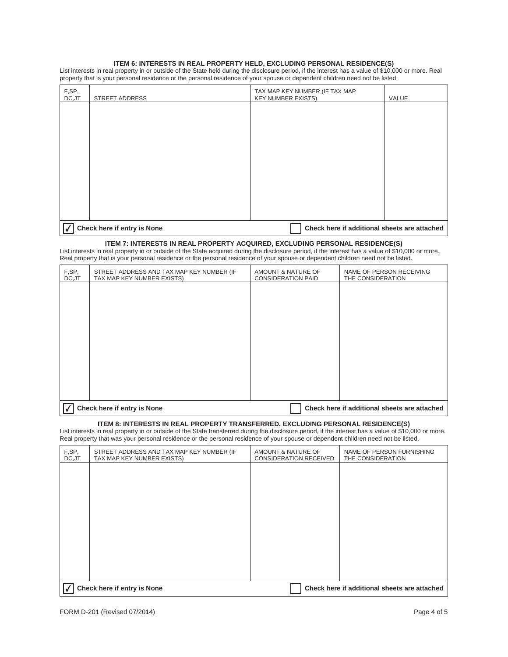# **ITEM 6: INTERESTS IN REAL PROPERTY HELD, EXCLUDING PERSONAL RESIDENCE(S)**

List interests in real property in or outside of the State held during the disclosure period, if the interest has a value of \$10,000 or more. Real property that is your personal residence or the personal residence of your spouse or dependent children need not be listed.

| F,SP,<br>DC, JT          | <b>STREET ADDRESS</b>       | TAX MAP KEY NUMBER (IF TAX MAP<br><b>KEY NUMBER EXISTS)</b> | VALUE |
|--------------------------|-----------------------------|-------------------------------------------------------------|-------|
|                          |                             |                                                             |       |
|                          |                             |                                                             |       |
|                          |                             |                                                             |       |
|                          |                             |                                                             |       |
|                          |                             |                                                             |       |
|                          |                             |                                                             |       |
|                          |                             |                                                             |       |
|                          |                             |                                                             |       |
| $\overline{\mathcal{L}}$ | Check here if entry is None | Check here if additional sheets are attached                |       |

#### **ITEM 7: INTERESTS IN REAL PROPERTY ACQUIRED, EXCLUDING PERSONAL RESIDENCE(S)**

List interests in real property in or outside of the State acquired during the disclosure period, if the interest has a value of \$10,000 or more. Real property that is your personal residence or the personal residence of your spouse or dependent children need not be listed.

| F,SP,<br>DC, JT | STREET ADDRESS AND TAX MAP KEY NUMBER (IF<br>TAX MAP KEY NUMBER EXISTS)     | AMOUNT & NATURE OF<br><b>CONSIDERATION PAID</b> | NAME OF PERSON RECEIVING<br>THE CONSIDERATION |
|-----------------|-----------------------------------------------------------------------------|-------------------------------------------------|-----------------------------------------------|
|                 |                                                                             |                                                 |                                               |
|                 |                                                                             |                                                 |                                               |
|                 |                                                                             |                                                 |                                               |
|                 |                                                                             |                                                 |                                               |
|                 |                                                                             |                                                 |                                               |
|                 |                                                                             |                                                 |                                               |
|                 |                                                                             |                                                 |                                               |
|                 | Check here if entry is None<br>Check here if additional sheets are attached |                                                 |                                               |

# **ITEM 8: INTERESTS IN REAL PROPERTY TRANSFERRED, EXCLUDING PERSONAL RESIDENCE(S)**

List interests in real property in or outside of the State transferred during the disclosure period, if the interest has a value of \$10,000 or more. Real property that was your personal residence or the personal residence of your spouse or dependent children need not be listed.

| F,SP,<br>DC, JT | STREET ADDRESS AND TAX MAP KEY NUMBER (IF<br>TAX MAP KEY NUMBER EXISTS) | AMOUNT & NATURE OF<br><b>CONSIDERATION RECEIVED</b> | NAME OF PERSON FURNISHING<br>THE CONSIDERATION |
|-----------------|-------------------------------------------------------------------------|-----------------------------------------------------|------------------------------------------------|
|                 |                                                                         |                                                     |                                                |
|                 |                                                                         |                                                     |                                                |
|                 |                                                                         |                                                     |                                                |
|                 |                                                                         |                                                     |                                                |
|                 |                                                                         |                                                     |                                                |
|                 |                                                                         |                                                     |                                                |
|                 |                                                                         |                                                     |                                                |
|                 | Check here if entry is None                                             |                                                     | Check here if additional sheets are attached   |